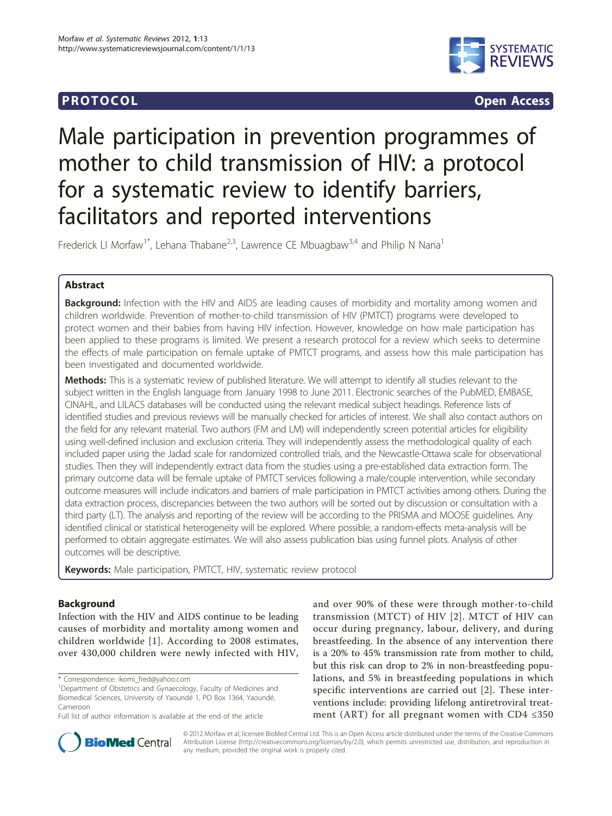# **PROTOCOL CONSUMING THE CONSUMING TEACHER CONSUMING THE CONSUMING TEACHER CONSUMING THE CONSUMING TEACHER CONSUMING THE CONSUMING TEACHER CONSUMING THE CONSUMING THE CONSUMING THE CONSUMING THE CONSUMING THE CONSUMING TH**



# Male participation in prevention programmes of mother to child transmission of HIV: a protocol for a systematic review to identify barriers, facilitators and reported interventions

Frederick LI Morfaw<sup>1\*</sup>, Lehana Thabane<sup>2,3</sup>, Lawrence CE Mbuagbaw<sup>3,4</sup> and Philip N Nana<sup>1</sup>

# Abstract

**Background:** Infection with the HIV and AIDS are leading causes of morbidity and mortality among women and children worldwide. Prevention of mother-to-child transmission of HIV (PMTCT) programs were developed to protect women and their babies from having HIV infection. However, knowledge on how male participation has been applied to these programs is limited. We present a research protocol for a review which seeks to determine the effects of male participation on female uptake of PMTCT programs, and assess how this male participation has been investigated and documented worldwide.

Methods: This is a systematic review of published literature. We will attempt to identify all studies relevant to the subject written in the English language from January 1998 to June 2011. Electronic searches of the PubMED, EMBASE, CINAHL, and LILACS databases will be conducted using the relevant medical subject headings. Reference lists of identified studies and previous reviews will be manually checked for articles of interest. We shall also contact authors on the field for any relevant material. Two authors (FM and LM) will independently screen potential articles for eligibility using well-defined inclusion and exclusion criteria. They will independently assess the methodological quality of each included paper using the Jadad scale for randomized controlled trials, and the Newcastle-Ottawa scale for observational studies. Then they will independently extract data from the studies using a pre-established data extraction form. The primary outcome data will be female uptake of PMTCT services following a male/couple intervention, while secondary outcome measures will include indicators and barriers of male participation in PMTCT activities among others. During the data extraction process, discrepancies between the two authors will be sorted out by discussion or consultation with a third party (LT). The analysis and reporting of the review will be according to the PRISMA and MOOSE guidelines. Any identified clinical or statistical heterogeneity will be explored. Where possible, a random-effects meta-analysis will be performed to obtain aggregate estimates. We will also assess publication bias using funnel plots. Analysis of other outcomes will be descriptive.

Keywords: Male participation, PMTCT, HIV, systematic review protocol

# **Background**

Infection with the HIV and AIDS continue to be leading causes of morbidity and mortality among women and children worldwide [[1](#page-3-0)]. According to 2008 estimates, over 430,000 children were newly infected with HIV,

\* Correspondence: [ikomi\\_fred@yahoo.com](mailto:ikomi_fred@yahoo.com)

and over 90% of these were through mother-to-child transmission (MTCT) of HIV [[2\]](#page-3-0). MTCT of HIV can occur during pregnancy, labour, delivery, and during breastfeeding. In the absence of any intervention there is a 20% to 45% transmission rate from mother to child, but this risk can drop to 2% in non-breastfeeding populations, and 5% in breastfeeding populations in which specific interventions are carried out [[2](#page-3-0)]. These interventions include: providing lifelong antiretroviral treatment (ART) for all pregnant women with CD4 ≤350



© 2012 Morfaw et al; licensee BioMed Central Ltd. This is an Open Access article distributed under the terms of the Creative Commons Attribution License [\(http://creativecommons.org/licenses/by/2.0](http://creativecommons.org/licenses/by/2.0)), which permits unrestricted use, distribution, and reproduction in any medium, provided the original work is properly cited.

<sup>&</sup>lt;sup>1</sup>Department of Obstetrics and Gynaecology, Faculty of Medicines and Biomedical Sciences, University of Yaoundé 1, PO Box 1364, Yaoundé, Cameroon

Full list of author information is available at the end of the article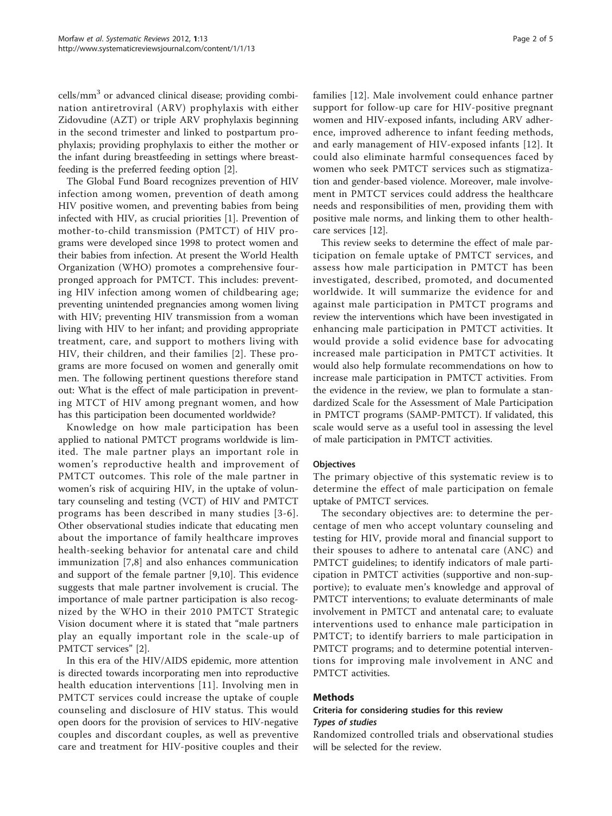$cells/mm<sup>3</sup>$  or advanced clinical disease; providing combination antiretroviral (ARV) prophylaxis with either Zidovudine (AZT) or triple ARV prophylaxis beginning in the second trimester and linked to postpartum prophylaxis; providing prophylaxis to either the mother or the infant during breastfeeding in settings where breastfeeding is the preferred feeding option [\[2\]](#page-3-0).

The Global Fund Board recognizes prevention of HIV infection among women, prevention of death among HIV positive women, and preventing babies from being infected with HIV, as crucial priorities [[1\]](#page-3-0). Prevention of mother-to-child transmission (PMTCT) of HIV programs were developed since 1998 to protect women and their babies from infection. At present the World Health Organization (WHO) promotes a comprehensive fourpronged approach for PMTCT. This includes: preventing HIV infection among women of childbearing age; preventing unintended pregnancies among women living with HIV; preventing HIV transmission from a woman living with HIV to her infant; and providing appropriate treatment, care, and support to mothers living with HIV, their children, and their families [[2\]](#page-3-0). These programs are more focused on women and generally omit men. The following pertinent questions therefore stand out: What is the effect of male participation in preventing MTCT of HIV among pregnant women, and how has this participation been documented worldwide?

Knowledge on how male participation has been applied to national PMTCT programs worldwide is limited. The male partner plays an important role in women's reproductive health and improvement of PMTCT outcomes. This role of the male partner in women's risk of acquiring HIV, in the uptake of voluntary counseling and testing (VCT) of HIV and PMTCT programs has been described in many studies [[3-](#page-3-0)[6\]](#page-4-0). Other observational studies indicate that educating men about the importance of family healthcare improves health-seeking behavior for antenatal care and child immunization [[7,8](#page-4-0)] and also enhances communication and support of the female partner [[9,10\]](#page-4-0). This evidence suggests that male partner involvement is crucial. The importance of male partner participation is also recognized by the WHO in their 2010 PMTCT Strategic Vision document where it is stated that "male partners play an equally important role in the scale-up of PMTCT services" [\[2](#page-3-0)].

In this era of the HIV/AIDS epidemic, more attention is directed towards incorporating men into reproductive health education interventions [\[11\]](#page-4-0). Involving men in PMTCT services could increase the uptake of couple counseling and disclosure of HIV status. This would open doors for the provision of services to HIV-negative couples and discordant couples, as well as preventive care and treatment for HIV-positive couples and their families [[12](#page-4-0)]. Male involvement could enhance partner support for follow-up care for HIV-positive pregnant women and HIV-exposed infants, including ARV adherence, improved adherence to infant feeding methods, and early management of HIV-exposed infants [[12\]](#page-4-0). It could also eliminate harmful consequences faced by women who seek PMTCT services such as stigmatization and gender-based violence. Moreover, male involvement in PMTCT services could address the healthcare needs and responsibilities of men, providing them with positive male norms, and linking them to other healthcare services [\[12](#page-4-0)].

This review seeks to determine the effect of male participation on female uptake of PMTCT services, and assess how male participation in PMTCT has been investigated, described, promoted, and documented worldwide. It will summarize the evidence for and against male participation in PMTCT programs and review the interventions which have been investigated in enhancing male participation in PMTCT activities. It would provide a solid evidence base for advocating increased male participation in PMTCT activities. It would also help formulate recommendations on how to increase male participation in PMTCT activities. From the evidence in the review, we plan to formulate a standardized Scale for the Assessment of Male Participation in PMTCT programs (SAMP-PMTCT). If validated, this scale would serve as a useful tool in assessing the level of male participation in PMTCT activities.

#### **Objectives**

The primary objective of this systematic review is to determine the effect of male participation on female uptake of PMTCT services.

The secondary objectives are: to determine the percentage of men who accept voluntary counseling and testing for HIV, provide moral and financial support to their spouses to adhere to antenatal care (ANC) and PMTCT guidelines; to identify indicators of male participation in PMTCT activities (supportive and non-supportive); to evaluate men's knowledge and approval of PMTCT interventions; to evaluate determinants of male involvement in PMTCT and antenatal care; to evaluate interventions used to enhance male participation in PMTCT; to identify barriers to male participation in PMTCT programs; and to determine potential interventions for improving male involvement in ANC and PMTCT activities.

## Methods

#### Criteria for considering studies for this review Types of studies

Randomized controlled trials and observational studies will be selected for the review.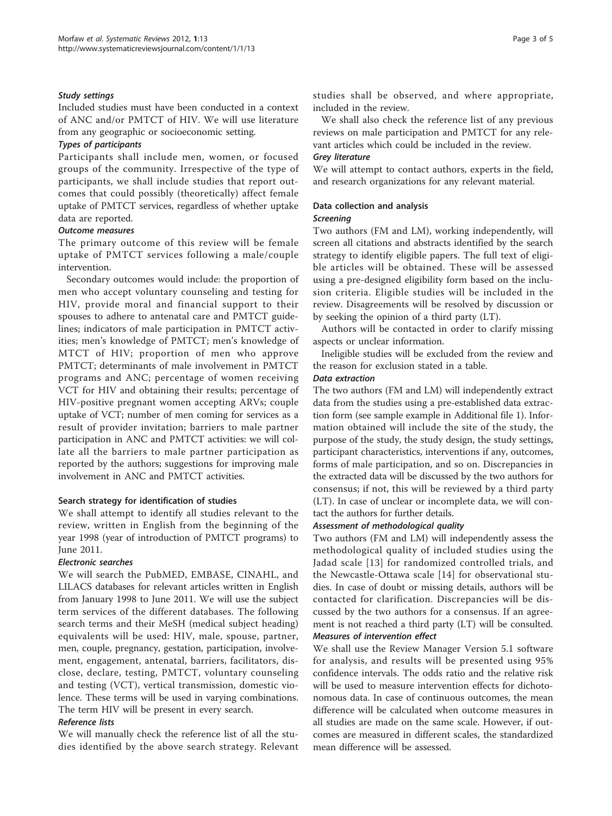#### Study settings

Included studies must have been conducted in a context of ANC and/or PMTCT of HIV. We will use literature from any geographic or socioeconomic setting.

#### Types of participants

Participants shall include men, women, or focused groups of the community. Irrespective of the type of participants, we shall include studies that report outcomes that could possibly (theoretically) affect female uptake of PMTCT services, regardless of whether uptake data are reported.

#### Outcome measures

The primary outcome of this review will be female uptake of PMTCT services following a male/couple intervention.

Secondary outcomes would include: the proportion of men who accept voluntary counseling and testing for HIV, provide moral and financial support to their spouses to adhere to antenatal care and PMTCT guidelines; indicators of male participation in PMTCT activities; men's knowledge of PMTCT; men's knowledge of MTCT of HIV; proportion of men who approve PMTCT; determinants of male involvement in PMTCT programs and ANC; percentage of women receiving VCT for HIV and obtaining their results; percentage of HIV-positive pregnant women accepting ARVs; couple uptake of VCT; number of men coming for services as a result of provider invitation; barriers to male partner participation in ANC and PMTCT activities: we will collate all the barriers to male partner participation as reported by the authors; suggestions for improving male involvement in ANC and PMTCT activities.

#### Search strategy for identification of studies

We shall attempt to identify all studies relevant to the review, written in English from the beginning of the year 1998 (year of introduction of PMTCT programs) to June 2011.

#### Electronic searches

We will search the PubMED, EMBASE, CINAHL, and LILACS databases for relevant articles written in English from January 1998 to June 2011. We will use the subject term services of the different databases. The following search terms and their MeSH (medical subject heading) equivalents will be used: HIV, male, spouse, partner, men, couple, pregnancy, gestation, participation, involvement, engagement, antenatal, barriers, facilitators, disclose, declare, testing, PMTCT, voluntary counseling and testing (VCT), vertical transmission, domestic violence. These terms will be used in varying combinations. The term HIV will be present in every search.

## Reference lists

We will manually check the reference list of all the studies identified by the above search strategy. Relevant studies shall be observed, and where appropriate, included in the review.

We shall also check the reference list of any previous reviews on male participation and PMTCT for any relevant articles which could be included in the review.

#### Grey literature

We will attempt to contact authors, experts in the field, and research organizations for any relevant material.

# Data collection and analysis **Screening**

Two authors (FM and LM), working independently, will screen all citations and abstracts identified by the search strategy to identify eligible papers. The full text of eligible articles will be obtained. These will be assessed using a pre-designed eligibility form based on the inclusion criteria. Eligible studies will be included in the review. Disagreements will be resolved by discussion or by seeking the opinion of a third party (LT).

Authors will be contacted in order to clarify missing aspects or unclear information.

Ineligible studies will be excluded from the review and the reason for exclusion stated in a table.

#### Data extraction

The two authors (FM and LM) will independently extract data from the studies using a pre-established data extraction form (see sample example in Additional file [1](#page-3-0)). Information obtained will include the site of the study, the purpose of the study, the study design, the study settings, participant characteristics, interventions if any, outcomes, forms of male participation, and so on. Discrepancies in the extracted data will be discussed by the two authors for consensus; if not, this will be reviewed by a third party (LT). In case of unclear or incomplete data, we will contact the authors for further details.

#### Assessment of methodological quality

Two authors (FM and LM) will independently assess the methodological quality of included studies using the Jadad scale [[13](#page-4-0)] for randomized controlled trials, and the Newcastle-Ottawa scale [[14\]](#page-4-0) for observational studies. In case of doubt or missing details, authors will be contacted for clarification. Discrepancies will be discussed by the two authors for a consensus. If an agreement is not reached a third party (LT) will be consulted. Measures of intervention effect

We shall use the Review Manager Version 5.1 software for analysis, and results will be presented using 95% confidence intervals. The odds ratio and the relative risk will be used to measure intervention effects for dichotonomous data. In case of continuous outcomes, the mean difference will be calculated when outcome measures in all studies are made on the same scale. However, if outcomes are measured in different scales, the standardized mean difference will be assessed.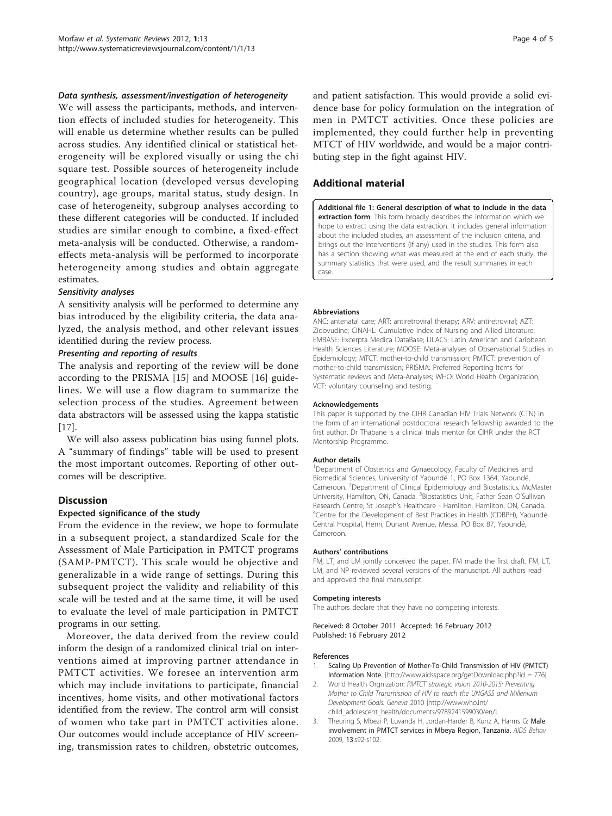#### <span id="page-3-0"></span>Data synthesis, assessment/investigation of heterogeneity

We will assess the participants, methods, and intervention effects of included studies for heterogeneity. This will enable us determine whether results can be pulled across studies. Any identified clinical or statistical heterogeneity will be explored visually or using the chi square test. Possible sources of heterogeneity include geographical location (developed versus developing country), age groups, marital status, study design. In case of heterogeneity, subgroup analyses according to these different categories will be conducted. If included studies are similar enough to combine, a fixed-effect meta-analysis will be conducted. Otherwise, a randomeffects meta-analysis will be performed to incorporate heterogeneity among studies and obtain aggregate estimates.

#### Sensitivity analyses

A sensitivity analysis will be performed to determine any bias introduced by the eligibility criteria, the data analyzed, the analysis method, and other relevant issues identified during the review process.

## Presenting and reporting of results

The analysis and reporting of the review will be done according to the PRISMA [\[15](#page-4-0)] and MOOSE [[16\]](#page-4-0) guidelines. We will use a flow diagram to summarize the selection process of the studies. Agreement between data abstractors will be assessed using the kappa statistic [[17\]](#page-4-0).

We will also assess publication bias using funnel plots. A "summary of findings" table will be used to present the most important outcomes. Reporting of other outcomes will be descriptive.

## **Discussion**

# Expected significance of the study

From the evidence in the review, we hope to formulate in a subsequent project, a standardized Scale for the Assessment of Male Participation in PMTCT programs (SAMP-PMTCT). This scale would be objective and generalizable in a wide range of settings. During this subsequent project the validity and reliability of this scale will be tested and at the same time, it will be used to evaluate the level of male participation in PMTCT programs in our setting.

Moreover, the data derived from the review could inform the design of a randomized clinical trial on interventions aimed at improving partner attendance in PMTCT activities. We foresee an intervention arm which may include invitations to participate, financial incentives, home visits, and other motivational factors identified from the review. The control arm will consist of women who take part in PMTCT activities alone. Our outcomes would include acceptance of HIV screening, transmission rates to children, obstetric outcomes,

and patient satisfaction. This would provide a solid evidence base for policy formulation on the integration of men in PMTCT activities. Once these policies are implemented, they could further help in preventing MTCT of HIV worldwide, and would be a major contributing step in the fight against HIV.

# Additional material

[Additional file 1: G](http://www.biomedcentral.com/content/supplementary/2046-4053-1-13-S1.DOC)eneral description of what to include in the data extraction form. This form broadly describes the information which we hope to extract using the data extraction. It includes general information about the included studies, an assessment of the inclusion criteria, and brings out the interventions (if any) used in the studies. This form also has a section showing what was measured at the end of each study, the summary statistics that were used, and the result summaries in each case.

#### Abbreviations

ANC: antenatal care; ART: antiretroviral therapy; ARV: antiretroviral; AZT: Zidovudine; CINAHL: Cumulative Index of Nursing and Allied Literature; EMBASE: Excerpta Medica DataBase; LILACS: Latin American and Caribbean Health Sciences Literature; MOOSE: Meta-analyses of Observational Studies in Epidemiology; MTCT: mother-to-child transmission; PMTCT: prevention of mother-to-child transmission; PRISMA: Preferred Reporting Items for Systematic reviews and Meta-Analyses; WHO: World Health Organization; VCT: voluntary counseling and testing.

#### Acknowledgements

This paper is supported by the CIHR Canadian HIV Trials Network (CTN) in the form of an international postdoctoral research fellowship awarded to the first author. Dr Thabane is a clinical trials mentor for CIHR under the RCT Mentorship Programme.

#### Author details

<sup>1</sup>Department of Obstetrics and Gynaecology, Faculty of Medicines and Biomedical Sciences, University of Yaoundé 1, PO Box 1364, Yaoundé, Cameroon. <sup>2</sup>Department of Clinical Epidemiology and Biostatistics, McMaster University, Hamilton, ON, Canada. <sup>3</sup>Biostatistics Unit, Father Sean O'Sullivan Research Centre, St Joseph's Healthcare - Hamilton, Hamilton, ON, Canada. <sup>4</sup>Centre for the Development of Best Practices in Health (CDBPH), Yaoundé Central Hospital, Henri, Dunant Avenue, Messa, PO Box 87, Yaoundé, Cameroon.

#### Authors' contributions

FM, LT, and LM jointly conceived the paper. FM made the first draft. FM, LT, LM, and NP reviewed several versions of the manuscript. All authors read and approved the final manuscript.

#### Competing interests

The authors declare that they have no competing interests.

Received: 8 October 2011 Accepted: 16 February 2012 Published: 16 February 2012

#### References

- 1. Scaling Up Prevention of Mother-To-Child Transmission of HIV (PMTCT) Information Note. [<http://www.aidsspace.org/getDownload.php?id = 776>].
- 2. World Health Orgnization: PMTCT strategic vision 2010-2015: Preventing Mother to Child Transmission of HIV to reach the UNGASS and Millenium Development Goals. Geneva 2010 [\[http://www.who.int/](http://www.who.int/child_adolescent_health/documents/9789241599030/en/) [child\\_adolescent\\_health/documents/9789241599030/en/](http://www.who.int/child_adolescent_health/documents/9789241599030/en/)].
- 3. Theuring S, Mbezi P, Luvanda H, Jordan-Harder B, Kunz A, Harms G: Male involvement in PMTCT services in Mbeya Region, Tanzania. AIDS Behav 2009, 13:s92-s102.